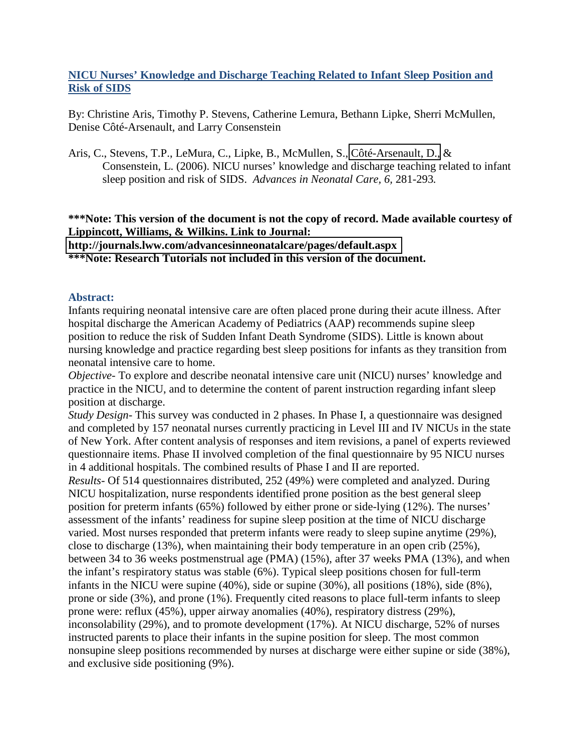# **NICU Nurses' Knowledge and Discharge Teaching Related to Infant Sleep Position and Risk of SIDS**

By: Christine Aris, Timothy P. Stevens, Catherine Lemura, Bethann Lipke, Sherri McMullen, Denise Côté-Arsenault, and Larry Consenstein

Aris, C., Stevens, T.P., LeMura, C., Lipke, B., McMullen, S., [Côté-Arsenault, D.,](http://libres.uncg.edu/ir/clist.aspx?id=4351) & Consenstein, L. (2006). NICU nurses' knowledge and discharge teaching related to infant sleep position and risk of SIDS.*Advances in Neonatal Care, 6,* 281-293*.*

# **\*\*\*Note: This version of the document is not the copy of record. Made available courtesy of Lippincott, Williams, & Wilkins. Link to Journal:**

**<http://journals.lww.com/advancesinneonatalcare/pages/default.aspx> \*\*\*Note: Research Tutorials not included in this version of the document.**

# **Abstract:**

Infants requiring neonatal intensive care are often placed prone during their acute illness. After hospital discharge the American Academy of Pediatrics (AAP) recommends supine sleep position to reduce the risk of Sudden Infant Death Syndrome (SIDS). Little is known about nursing knowledge and practice regarding best sleep positions for infants as they transition from neonatal intensive care to home.

*Objective-* To explore and describe neonatal intensive care unit (NICU) nurses' knowledge and practice in the NICU, and to determine the content of parent instruction regarding infant sleep position at discharge.

*Study Design-* This survey was conducted in 2 phases. In Phase I, a questionnaire was designed and completed by 157 neonatal nurses currently practicing in Level III and IV NICUs in the state of New York. After content analysis of responses and item revisions, a panel of experts reviewed questionnaire items. Phase II involved completion of the final questionnaire by 95 NICU nurses in 4 additional hospitals. The combined results of Phase I and II are reported.

*Results-* Of 514 questionnaires distributed, 252 (49%) were completed and analyzed. During NICU hospitalization, nurse respondents identified prone position as the best general sleep position for preterm infants (65%) followed by either prone or side-lying (12%). The nurses' assessment of the infants' readiness for supine sleep position at the time of NICU discharge varied. Most nurses responded that preterm infants were ready to sleep supine anytime (29%), close to discharge (13%), when maintaining their body temperature in an open crib (25%), between 34 to 36 weeks postmenstrual age (PMA) (15%), after 37 weeks PMA (13%), and when the infant's respiratory status was stable (6%). Typical sleep positions chosen for full-term infants in the NICU were supine (40%), side or supine (30%), all positions (18%), side (8%), prone or side (3%), and prone (1%). Frequently cited reasons to place full-term infants to sleep prone were: reflux (45%), upper airway anomalies (40%), respiratory distress (29%), inconsolability (29%), and to promote development (17%). At NICU discharge, 52% of nurses instructed parents to place their infants in the supine position for sleep. The most common nonsupine sleep positions recommended by nurses at discharge were either supine or side (38%), and exclusive side positioning (9%).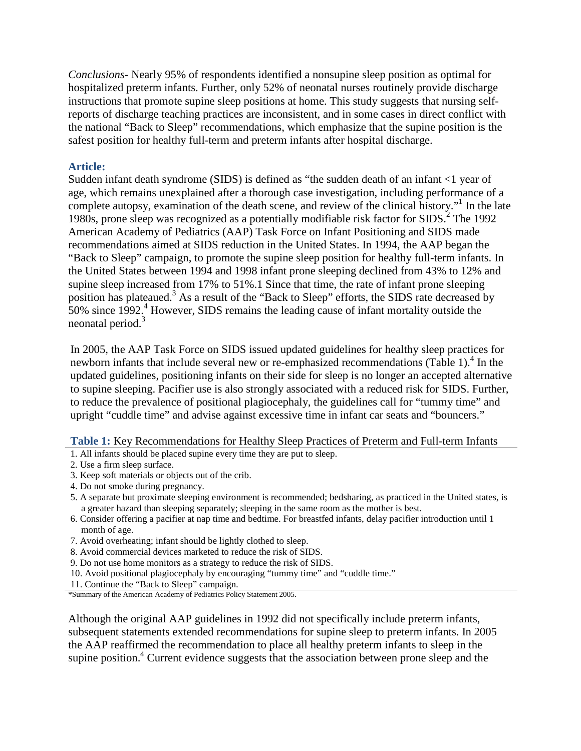*Conclusions-* Nearly 95% of respondents identified a nonsupine sleep position as optimal for hospitalized preterm infants. Further, only 52% of neonatal nurses routinely provide discharge instructions that promote supine sleep positions at home. This study suggests that nursing selfreports of discharge teaching practices are inconsistent, and in some cases in direct conflict with the national "Back to Sleep" recommendations, which emphasize that the supine position is the safest position for healthy full-term and preterm infants after hospital discharge.

### **Article:**

Sudden infant death syndrome (SIDS) is defined as "the sudden death of an infant <1 year of age, which remains unexplained after a thorough case investigation, including performance of a complete autopsy, examination of the death scene, and review of the clinical history."<sup>1</sup> In the late 1980s, prone sleep was recognized as a potentially modifiable risk factor for SIDS.<sup>2</sup> The 1992 American Academy of Pediatrics (AAP) Task Force on Infant Positioning and SIDS made recommendations aimed at SIDS reduction in the United States. In 1994, the AAP began the "Back to Sleep" campaign, to promote the supine sleep position for healthy full-term infants. In the United States between 1994 and 1998 infant prone sleeping declined from 43% to 12% and supine sleep increased from 17% to 51%.1 Since that time, the rate of infant prone sleeping position has plateaued.<sup>3</sup> As a result of the "Back to Sleep" efforts, the SIDS rate decreased by 50% since 1992.4 However, SIDS remains the leading cause of infant mortality outside the neonatal period.<sup>3</sup>

In 2005, the AAP Task Force on SIDS issued updated guidelines for healthy sleep practices for newborn infants that include several new or re-emphasized recommendations (Table 1).<sup>4</sup> In the updated guidelines, positioning infants on their side for sleep is no longer an accepted alternative to supine sleeping. Pacifier use is also strongly associated with a reduced risk for SIDS. Further, to reduce the prevalence of positional plagiocephaly, the guidelines call for "tummy time" and upright "cuddle time" and advise against excessive time in infant car seats and "bouncers."

### **Table 1:** Key Recommendations for Healthy Sleep Practices of Preterm and Full-term Infants

- 1. All infants should be placed supine every time they are put to sleep.
- 2. Use a firm sleep surface.
- 3. Keep soft materials or objects out of the crib.
- 4. Do not smoke during pregnancy.
- 5. A separate but proximate sleeping environment is recommended; bedsharing, as practiced in the United states, is a greater hazard than sleeping separately; sleeping in the same room as the mother is best.
- 6. Consider offering a pacifier at nap time and bedtime. For breastfed infants, delay pacifier introduction until 1 month of age.
- 7. Avoid overheating; infant should be lightly clothed to sleep.
- 8. Avoid commercial devices marketed to reduce the risk of SIDS.
- 9. Do not use home monitors as a strategy to reduce the risk of SIDS.
- 10. Avoid positional plagiocephaly by encouraging "tummy time" and "cuddle time."
- 11. Continue the "Back to Sleep" campaign.

\*Summary of the American Academy of Pediatrics Policy Statement 2005.

Although the original AAP guidelines in 1992 did not specifically include preterm infants, subsequent statements extended recommendations for supine sleep to preterm infants. In 2005 the AAP reaffirmed the recommendation to place all healthy preterm infants to sleep in the supine position.<sup>4</sup> Current evidence suggests that the association between prone sleep and the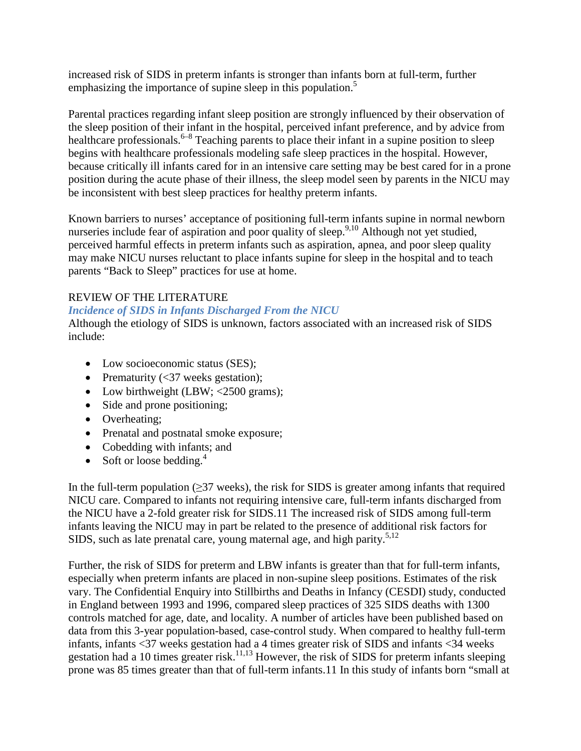increased risk of SIDS in preterm infants is stronger than infants born at full-term, further emphasizing the importance of supine sleep in this population.<sup>5</sup>

Parental practices regarding infant sleep position are strongly influenced by their observation of the sleep position of their infant in the hospital, perceived infant preference, and by advice from healthcare professionals.<sup> $6-8$ </sup> Teaching parents to place their infant in a supine position to sleep begins with healthcare professionals modeling safe sleep practices in the hospital. However, because critically ill infants cared for in an intensive care setting may be best cared for in a prone position during the acute phase of their illness, the sleep model seen by parents in the NICU may be inconsistent with best sleep practices for healthy preterm infants.

Known barriers to nurses' acceptance of positioning full-term infants supine in normal newborn nurseries include fear of aspiration and poor quality of sleep.<sup>9,10</sup> Although not yet studied, perceived harmful effects in preterm infants such as aspiration, apnea, and poor sleep quality may make NICU nurses reluctant to place infants supine for sleep in the hospital and to teach parents "Back to Sleep" practices for use at home.

# REVIEW OF THE LITERATURE

# *Incidence of SIDS in Infants Discharged From the NICU*

Although the etiology of SIDS is unknown, factors associated with an increased risk of SIDS include:

- Low socioeconomic status (SES);
- Prematurity  $( $37$  weeks gestation);$
- Low birthweight (LBW;  $\langle 2500 \text{ grams} \rangle$ ;
- Side and prone positioning;
- Overheating;
- Prenatal and postnatal smoke exposure;
- Cobedding with infants; and
- Soft or loose bedding.<sup>4</sup>

In the full-term population ( $\geq$ 37 weeks), the risk for SIDS is greater among infants that required NICU care. Compared to infants not requiring intensive care, full-term infants discharged from the NICU have a 2-fold greater risk for SIDS.11 The increased risk of SIDS among full-term infants leaving the NICU may in part be related to the presence of additional risk factors for SIDS, such as late prenatal care, young maternal age, and high parity.<sup>5,12</sup>

Further, the risk of SIDS for preterm and LBW infants is greater than that for full-term infants, especially when preterm infants are placed in non-supine sleep positions. Estimates of the risk vary. The Confidential Enquiry into Stillbirths and Deaths in Infancy (CESDI) study, conducted in England between 1993 and 1996, compared sleep practices of 325 SIDS deaths with 1300 controls matched for age, date, and locality. A number of articles have been published based on data from this 3-year population-based, case-control study. When compared to healthy full-term infants, infants <37 weeks gestation had a 4 times greater risk of SIDS and infants <34 weeks gestation had a 10 times greater risk.<sup>11,13</sup> However, the risk of SIDS for preterm infants sleeping prone was 85 times greater than that of full-term infants.11 In this study of infants born "small at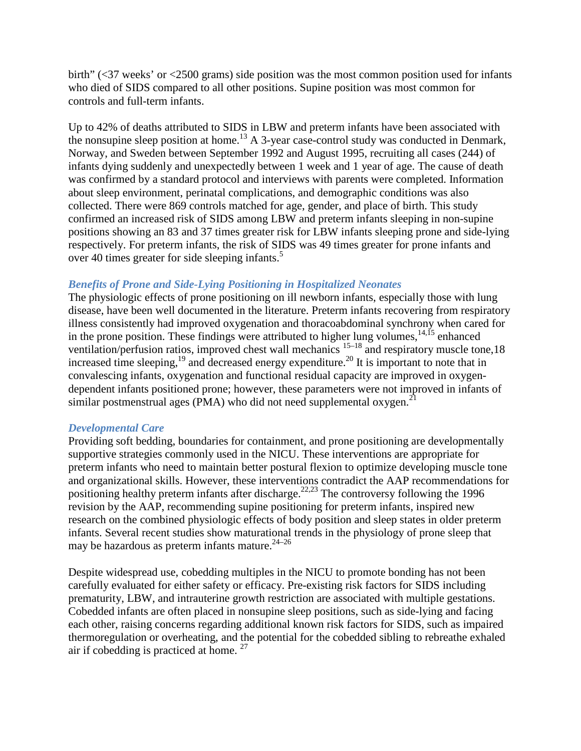birth" (<37 weeks' or <2500 grams) side position was the most common position used for infants who died of SIDS compared to all other positions. Supine position was most common for controls and full-term infants.

Up to 42% of deaths attributed to SIDS in LBW and preterm infants have been associated with the nonsupine sleep position at home.<sup>13</sup> A 3-year case-control study was conducted in Denmark, Norway, and Sweden between September 1992 and August 1995, recruiting all cases (244) of infants dying suddenly and unexpectedly between 1 week and 1 year of age. The cause of death was confirmed by a standard protocol and interviews with parents were completed. Information about sleep environment, perinatal complications, and demographic conditions was also collected. There were 869 controls matched for age, gender, and place of birth. This study confirmed an increased risk of SIDS among LBW and preterm infants sleeping in non-supine positions showing an 83 and 37 times greater risk for LBW infants sleeping prone and side-lying respectively. For preterm infants, the risk of SIDS was 49 times greater for prone infants and over 40 times greater for side sleeping infants.<sup>5</sup>

# *Benefits of Prone and Side-Lying Positioning in Hospitalized Neonates*

The physiologic effects of prone positioning on ill newborn infants, especially those with lung disease, have been well documented in the literature. Preterm infants recovering from respiratory illness consistently had improved oxygenation and thoracoabdominal synchrony when cared for in the prone position. These findings were attributed to higher lung volumes,  $14,15$  enhanced ventilation/perfusion ratios, improved chest wall mechanics <sup>15–18</sup> and respiratory muscle tone, 18 increased time sleeping,<sup>19</sup> and decreased energy expenditure.<sup>20</sup> It is important to note that in convalescing infants, oxygenation and functional residual capacity are improved in oxygendependent infants positioned prone; however, these parameters were not improved in infants of similar postmenstrual ages (PMA) who did not need supplemental oxygen.<sup>21</sup>

### *Developmental Care*

Providing soft bedding, boundaries for containment, and prone positioning are developmentally supportive strategies commonly used in the NICU. These interventions are appropriate for preterm infants who need to maintain better postural flexion to optimize developing muscle tone and organizational skills. However, these interventions contradict the AAP recommendations for positioning healthy preterm infants after discharge.<sup>22,23</sup> The controversy following the 1996 revision by the AAP, recommending supine positioning for preterm infants, inspired new research on the combined physiologic effects of body position and sleep states in older preterm infants. Several recent studies show maturational trends in the physiology of prone sleep that may be hazardous as preterm infants mature. $24-26$ 

Despite widespread use, cobedding multiples in the NICU to promote bonding has not been carefully evaluated for either safety or efficacy. Pre-existing risk factors for SIDS including prematurity, LBW, and intrauterine growth restriction are associated with multiple gestations. Cobedded infants are often placed in nonsupine sleep positions, such as side-lying and facing each other, raising concerns regarding additional known risk factors for SIDS, such as impaired thermoregulation or overheating, and the potential for the cobedded sibling to rebreathe exhaled air if cobedding is practiced at home.  $27$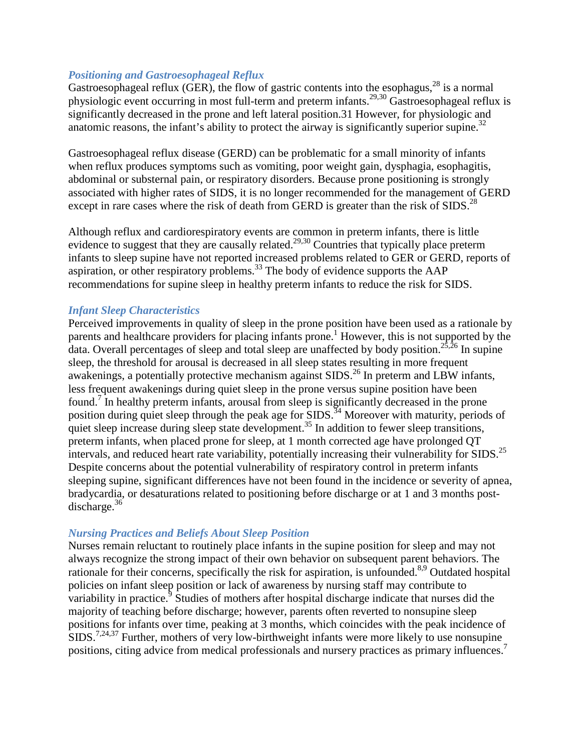# *Positioning and Gastroesophageal Reflux*

Gastroesophageal reflux (GER), the flow of gastric contents into the esophagus,  $^{28}$  is a normal physiologic event occurring in most full-term and preterm infants.29,30 Gastroesophageal reflux is significantly decreased in the prone and left lateral position.31 However, for physiologic and anatomic reasons, the infant's ability to protect the airway is significantly superior supine.<sup>32</sup>

Gastroesophageal reflux disease (GERD) can be problematic for a small minority of infants when reflux produces symptoms such as vomiting, poor weight gain, dysphagia, esophagitis, abdominal or substernal pain, or respiratory disorders. Because prone positioning is strongly associated with higher rates of SIDS, it is no longer recommended for the management of GERD except in rare cases where the risk of death from GERD is greater than the risk of  $\text{SIDS}$ <sup>28</sup>

Although reflux and cardiorespiratory events are common in preterm infants, there is little evidence to suggest that they are causally related.<sup>29,30</sup> Countries that typically place preterm infants to sleep supine have not reported increased problems related to GER or GERD, reports of aspiration, or other respiratory problems.<sup>33</sup> The body of evidence supports the AAP recommendations for supine sleep in healthy preterm infants to reduce the risk for SIDS.

### *Infant Sleep Characteristics*

Perceived improvements in quality of sleep in the prone position have been used as a rationale by parents and healthcare providers for placing infants prone.<sup>1</sup> However, this is not supported by the data. Overall percentages of sleep and total sleep are unaffected by body position.<sup>25,26</sup> In supine sleep, the threshold for arousal is decreased in all sleep states resulting in more frequent awakenings, a potentially protective mechanism against  $\text{SIDS}^{26}$  In preterm and LBW infants, less frequent awakenings during quiet sleep in the prone versus supine position have been found.<sup>7</sup> In healthy preterm infants, arousal from sleep is significantly decreased in the prone position during quiet sleep through the peak age for SIDS.<sup>34</sup> Moreover with maturity, periods of quiet sleep increase during sleep state development.<sup>35</sup> In addition to fewer sleep transitions, preterm infants, when placed prone for sleep, at 1 month corrected age have prolonged QT intervals, and reduced heart rate variability, potentially increasing their vulnerability for SIDS.25 Despite concerns about the potential vulnerability of respiratory control in preterm infants sleeping supine, significant differences have not been found in the incidence or severity of apnea, bradycardia, or desaturations related to positioning before discharge or at 1 and 3 months postdischarge. $36$ 

### *Nursing Practices and Beliefs About Sleep Position*

Nurses remain reluctant to routinely place infants in the supine position for sleep and may not always recognize the strong impact of their own behavior on subsequent parent behaviors. The rationale for their concerns, specifically the risk for aspiration, is unfounded.<sup>8,9</sup> Outdated hospital policies on infant sleep position or lack of awareness by nursing staff may contribute to variability in practice.<sup>9</sup> Studies of mothers after hospital discharge indicate that nurses did the majority of teaching before discharge; however, parents often reverted to nonsupine sleep positions for infants over time, peaking at 3 months, which coincides with the peak incidence of  $\text{SIDS.}^{7,24,37}$  Further, mothers of very low-birthweight infants were more likely to use nonsupine positions, citing advice from medical professionals and nursery practices as primary influences.<sup>7</sup>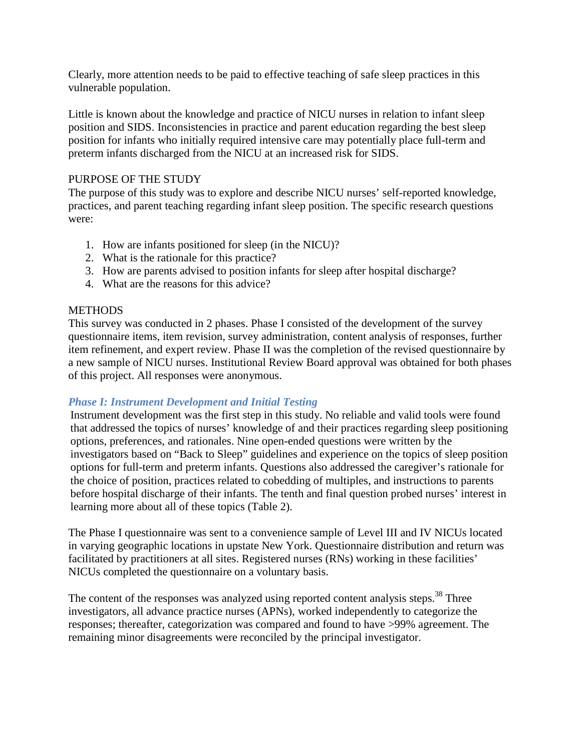Clearly, more attention needs to be paid to effective teaching of safe sleep practices in this vulnerable population.

Little is known about the knowledge and practice of NICU nurses in relation to infant sleep position and SIDS. Inconsistencies in practice and parent education regarding the best sleep position for infants who initially required intensive care may potentially place full-term and preterm infants discharged from the NICU at an increased risk for SIDS.

# PURPOSE OF THE STUDY

The purpose of this study was to explore and describe NICU nurses' self-reported knowledge, practices, and parent teaching regarding infant sleep position. The specific research questions were:

- 1. How are infants positioned for sleep (in the NICU)?
- 2. What is the rationale for this practice?
- 3. How are parents advised to position infants for sleep after hospital discharge?
- 4. What are the reasons for this advice?

# **METHODS**

This survey was conducted in 2 phases. Phase I consisted of the development of the survey questionnaire items, item revision, survey administration, content analysis of responses, further item refinement, and expert review. Phase II was the completion of the revised questionnaire by a new sample of NICU nurses. Institutional Review Board approval was obtained for both phases of this project. All responses were anonymous.

### *Phase I: Instrument Development and Initial Testing*

Instrument development was the first step in this study. No reliable and valid tools were found that addressed the topics of nurses' knowledge of and their practices regarding sleep positioning options, preferences, and rationales. Nine open-ended questions were written by the investigators based on "Back to Sleep" guidelines and experience on the topics of sleep position options for full-term and preterm infants. Questions also addressed the caregiver's rationale for the choice of position, practices related to cobedding of multiples, and instructions to parents before hospital discharge of their infants. The tenth and final question probed nurses' interest in learning more about all of these topics (Table 2).

The Phase I questionnaire was sent to a convenience sample of Level III and IV NICUs located in varying geographic locations in upstate New York. Questionnaire distribution and return was facilitated by practitioners at all sites. Registered nurses (RNs) working in these facilities' NICUs completed the questionnaire on a voluntary basis.

The content of the responses was analyzed using reported content analysis steps.<sup>38</sup> Three investigators, all advance practice nurses (APNs), worked independently to categorize the responses; thereafter, categorization was compared and found to have >99% agreement. The remaining minor disagreements were reconciled by the principal investigator.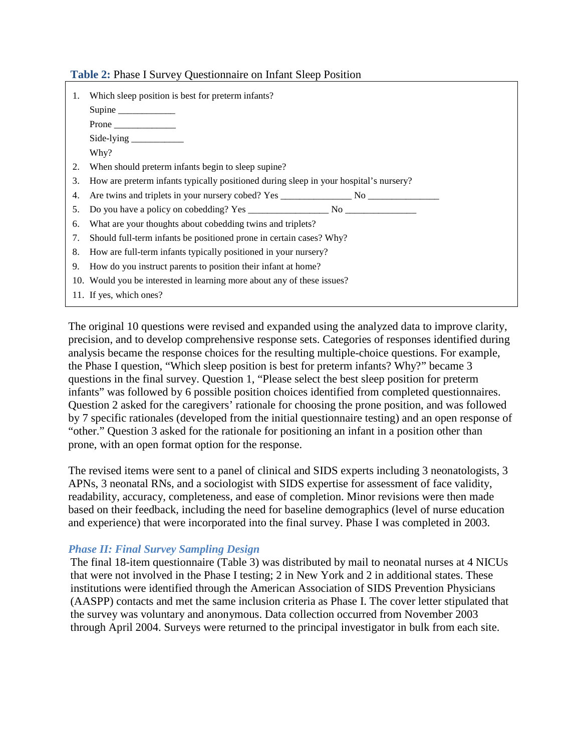#### **Table 2:** Phase I Survey Questionnaire on Infant Sleep Position

| 1. | Which sleep position is best for preterm infants?                                     |  |  |
|----|---------------------------------------------------------------------------------------|--|--|
|    | Supine $\frac{\qquad \qquad }{\qquad \qquad }$                                        |  |  |
|    |                                                                                       |  |  |
|    | Side-lying ____________                                                               |  |  |
|    | Why?                                                                                  |  |  |
| 2. | When should preterm infants begin to sleep supine?                                    |  |  |
| 3. | How are preterm infants typically positioned during sleep in your hospital's nursery? |  |  |
| 4. |                                                                                       |  |  |
| 5. |                                                                                       |  |  |
| 6. | What are your thoughts about cobedding twins and triplets?                            |  |  |
| 7. | Should full-term infants be positioned prone in certain cases? Why?                   |  |  |
| 8. | How are full-term infants typically positioned in your nursery?                       |  |  |
| 9. | How do you instruct parents to position their infant at home?                         |  |  |
|    | 10. Would you be interested in learning more about any of these issues?               |  |  |
|    | 11. If yes, which ones?                                                               |  |  |

The original 10 questions were revised and expanded using the analyzed data to improve clarity, precision, and to develop comprehensive response sets. Categories of responses identified during analysis became the response choices for the resulting multiple-choice questions. For example, the Phase I question, "Which sleep position is best for preterm infants? Why?" became 3 questions in the final survey. Question 1, "Please select the best sleep position for preterm infants" was followed by 6 possible position choices identified from completed questionnaires. Question 2 asked for the caregivers' rationale for choosing the prone position, and was followed by 7 specific rationales (developed from the initial questionnaire testing) and an open response of "other." Question 3 asked for the rationale for positioning an infant in a position other than prone, with an open format option for the response.

The revised items were sent to a panel of clinical and SIDS experts including 3 neonatologists, 3 APNs, 3 neonatal RNs, and a sociologist with SIDS expertise for assessment of face validity, readability, accuracy, completeness, and ease of completion. Minor revisions were then made based on their feedback, including the need for baseline demographics (level of nurse education and experience) that were incorporated into the final survey. Phase I was completed in 2003.

#### *Phase II: Final Survey Sampling Design*

The final 18-item questionnaire (Table 3) was distributed by mail to neonatal nurses at 4 NICUs that were not involved in the Phase I testing; 2 in New York and 2 in additional states. These institutions were identified through the American Association of SIDS Prevention Physicians (AASPP) contacts and met the same inclusion criteria as Phase I. The cover letter stipulated that the survey was voluntary and anonymous. Data collection occurred from November 2003 through April 2004. Surveys were returned to the principal investigator in bulk from each site.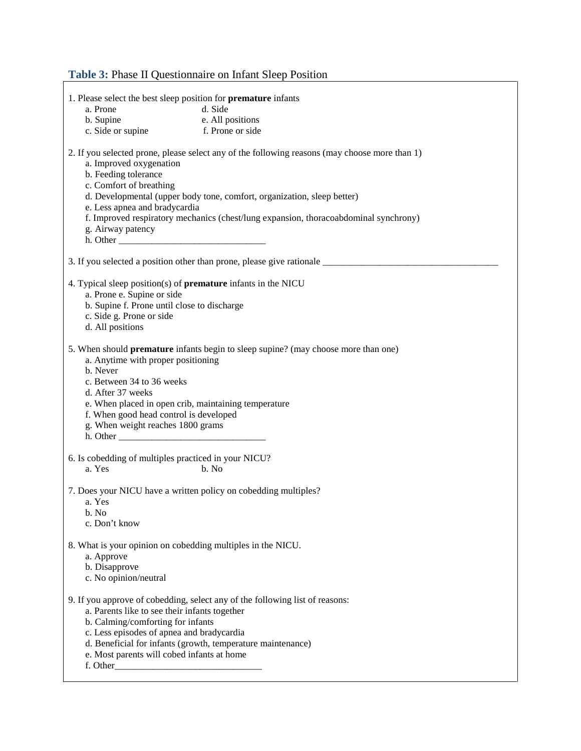# **Table 3:** Phase II Questionnaire on Infant Sleep Position

I

|                                                                                                          | 1. Please select the best sleep position for <b>premature</b> infants                         |  |  |  |  |
|----------------------------------------------------------------------------------------------------------|-----------------------------------------------------------------------------------------------|--|--|--|--|
| a. Prone                                                                                                 | d. Side                                                                                       |  |  |  |  |
| b. Supine                                                                                                | e. All positions                                                                              |  |  |  |  |
| c. Side or supine                                                                                        | f. Prone or side                                                                              |  |  |  |  |
|                                                                                                          | 2. If you selected prone, please select any of the following reasons (may choose more than 1) |  |  |  |  |
| a. Improved oxygenation                                                                                  |                                                                                               |  |  |  |  |
| b. Feeding tolerance                                                                                     |                                                                                               |  |  |  |  |
| c. Comfort of breathing                                                                                  |                                                                                               |  |  |  |  |
|                                                                                                          | d. Developmental (upper body tone, comfort, organization, sleep better)                       |  |  |  |  |
| e. Less apnea and bradycardia                                                                            |                                                                                               |  |  |  |  |
| f. Improved respiratory mechanics (chest/lung expansion, thoracoabdominal synchrony)                     |                                                                                               |  |  |  |  |
| g. Airway patency                                                                                        |                                                                                               |  |  |  |  |
|                                                                                                          |                                                                                               |  |  |  |  |
|                                                                                                          |                                                                                               |  |  |  |  |
|                                                                                                          | 4. Typical sleep position(s) of <b>premature</b> infants in the NICU                          |  |  |  |  |
| a. Prone e. Supine or side                                                                               |                                                                                               |  |  |  |  |
| b. Supine f. Prone until close to discharge                                                              |                                                                                               |  |  |  |  |
| c. Side g. Prone or side                                                                                 |                                                                                               |  |  |  |  |
| d. All positions                                                                                         |                                                                                               |  |  |  |  |
|                                                                                                          | 5. When should <b>premature</b> infants begin to sleep supine? (may choose more than one)     |  |  |  |  |
| a. Anytime with proper positioning                                                                       |                                                                                               |  |  |  |  |
| b. Never                                                                                                 |                                                                                               |  |  |  |  |
| c. Between 34 to 36 weeks                                                                                |                                                                                               |  |  |  |  |
| d. After 37 weeks                                                                                        |                                                                                               |  |  |  |  |
|                                                                                                          | e. When placed in open crib, maintaining temperature                                          |  |  |  |  |
| f. When good head control is developed                                                                   |                                                                                               |  |  |  |  |
| g. When weight reaches 1800 grams                                                                        |                                                                                               |  |  |  |  |
|                                                                                                          |                                                                                               |  |  |  |  |
| 6. Is cobedding of multiples practiced in your NICU?                                                     |                                                                                               |  |  |  |  |
| a. Yes                                                                                                   | b. No                                                                                         |  |  |  |  |
|                                                                                                          | 7. Does your NICU have a written policy on cobedding multiples?                               |  |  |  |  |
| a. Yes                                                                                                   |                                                                                               |  |  |  |  |
| b. No                                                                                                    |                                                                                               |  |  |  |  |
| c. Don't know                                                                                            |                                                                                               |  |  |  |  |
|                                                                                                          | 8. What is your opinion on cobedding multiples in the NICU.                                   |  |  |  |  |
| a. Approve                                                                                               |                                                                                               |  |  |  |  |
| b. Disapprove                                                                                            |                                                                                               |  |  |  |  |
| c. No opinion/neutral                                                                                    |                                                                                               |  |  |  |  |
|                                                                                                          | 9. If you approve of cobedding, select any of the following list of reasons:                  |  |  |  |  |
| a. Parents like to see their infants together                                                            |                                                                                               |  |  |  |  |
| b. Calming/comforting for infants                                                                        |                                                                                               |  |  |  |  |
| c. Less episodes of apnea and bradycardia<br>d. Beneficial for infants (growth, temperature maintenance) |                                                                                               |  |  |  |  |
|                                                                                                          |                                                                                               |  |  |  |  |
|                                                                                                          |                                                                                               |  |  |  |  |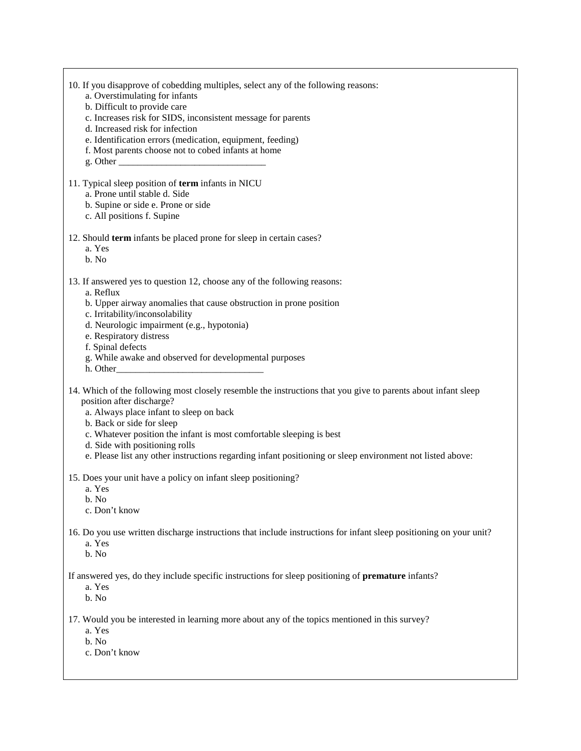10. If you disapprove of cobedding multiples, select any of the following reasons: a. Overstimulating for infants b. Difficult to provide care c. Increases risk for SIDS, inconsistent message for parents d. Increased risk for infection e. Identification errors (medication, equipment, feeding) f. Most parents choose not to cobed infants at home g. Other 11. Typical sleep position of **term** infants in NICU a. Prone until stable d. Side b. Supine or side e. Prone or side c. All positions f. Supine 12. Should **term** infants be placed prone for sleep in certain cases? a. Yes b. No 13. If answered yes to question 12, choose any of the following reasons: a. Reflux b. Upper airway anomalies that cause obstruction in prone position c. Irritability/inconsolability d. Neurologic impairment (e.g., hypotonia) e. Respiratory distress f. Spinal defects g. While awake and observed for developmental purposes h. Other 14. Which of the following most closely resemble the instructions that you give to parents about infant sleep position after discharge? a. Always place infant to sleep on back b. Back or side for sleep c. Whatever position the infant is most comfortable sleeping is best d. Side with positioning rolls e. Please list any other instructions regarding infant positioning or sleep environment not listed above: 15. Does your unit have a policy on infant sleep positioning? a. Yes b. No c. Don't know 16. Do you use written discharge instructions that include instructions for infant sleep positioning on your unit? a. Yes b. No If answered yes, do they include specific instructions for sleep positioning of **premature** infants? a. Yes b. No 17. Would you be interested in learning more about any of the topics mentioned in this survey? a. Yes b. No c. Don't know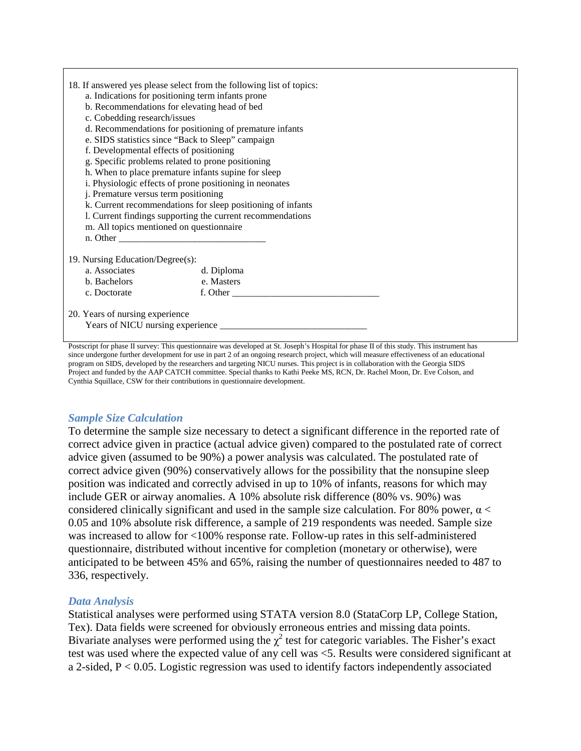| 18. If answered yes please select from the following list of topics:<br>a. Indications for positioning term infants prone<br>b. Recommendations for elevating head of bed<br>c. Cobedding research/issues<br>d. Recommendations for positioning of premature infants<br>e. SIDS statistics since "Back to Sleep" campaign<br>f. Developmental effects of positioning<br>g. Specific problems related to prone positioning<br>h. When to place premature infants supine for sleep<br>i. Physiologic effects of prone positioning in neonates<br>j. Premature versus term positioning<br>k. Current recommendations for sleep positioning of infants<br>1. Current findings supporting the current recommendations<br>m. All topics mentioned on questionnaire |            |          |  |  |  |  |
|--------------------------------------------------------------------------------------------------------------------------------------------------------------------------------------------------------------------------------------------------------------------------------------------------------------------------------------------------------------------------------------------------------------------------------------------------------------------------------------------------------------------------------------------------------------------------------------------------------------------------------------------------------------------------------------------------------------------------------------------------------------|------------|----------|--|--|--|--|
| 19. Nursing Education/Degree(s):                                                                                                                                                                                                                                                                                                                                                                                                                                                                                                                                                                                                                                                                                                                             |            |          |  |  |  |  |
| a. Associates                                                                                                                                                                                                                                                                                                                                                                                                                                                                                                                                                                                                                                                                                                                                                | d. Diploma |          |  |  |  |  |
| b. Bachelors                                                                                                                                                                                                                                                                                                                                                                                                                                                                                                                                                                                                                                                                                                                                                 | e. Masters |          |  |  |  |  |
| c. Doctorate                                                                                                                                                                                                                                                                                                                                                                                                                                                                                                                                                                                                                                                                                                                                                 |            | f. Other |  |  |  |  |
| 20. Years of nursing experience                                                                                                                                                                                                                                                                                                                                                                                                                                                                                                                                                                                                                                                                                                                              |            |          |  |  |  |  |

Postscript for phase II survey: This questionnaire was developed at St. Joseph's Hospital for phase II of this study. This instrument has since undergone further development for use in part 2 of an ongoing research project, which will measure effectiveness of an educational program on SIDS, developed by the researchers and targeting NICU nurses. This project is in collaboration with the Georgia SIDS Project and funded by the AAP CATCH committee. Special thanks to Kathi Peeke MS, RCN, Dr. Rachel Moon, Dr. Eve Colson, and Cynthia Squillace, CSW for their contributions in questionnaire development.

# *Sample Size Calculation*

To determine the sample size necessary to detect a significant difference in the reported rate of correct advice given in practice (actual advice given) compared to the postulated rate of correct advice given (assumed to be 90%) a power analysis was calculated. The postulated rate of correct advice given (90%) conservatively allows for the possibility that the nonsupine sleep position was indicated and correctly advised in up to 10% of infants, reasons for which may include GER or airway anomalies. A 10% absolute risk difference (80% vs. 90%) was considered clinically significant and used in the sample size calculation. For 80% power,  $\alpha$  < 0.05 and 10% absolute risk difference, a sample of 219 respondents was needed. Sample size was increased to allow for <100% response rate. Follow-up rates in this self-administered questionnaire, distributed without incentive for completion (monetary or otherwise), were anticipated to be between 45% and 65%, raising the number of questionnaires needed to 487 to 336, respectively.

### *Data Analysis*

Statistical analyses were performed using STATA version 8.0 (StataCorp LP, College Station, Tex). Data fields were screened for obviously erroneous entries and missing data points. Bivariate analyses were performed using the  $\chi^2$  test for categoric variables. The Fisher's exact test was used where the expected value of any cell was <5. Results were considered significant at a 2-sided, P < 0.05. Logistic regression was used to identify factors independently associated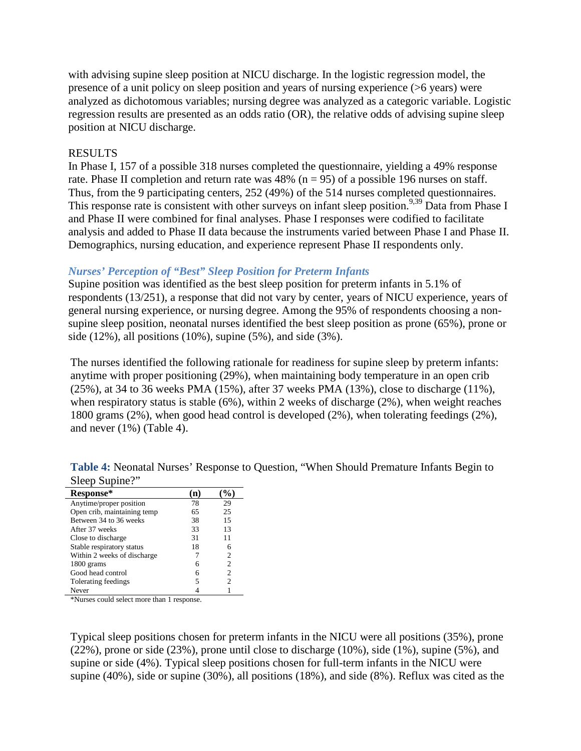with advising supine sleep position at NICU discharge. In the logistic regression model, the presence of a unit policy on sleep position and years of nursing experience (>6 years) were analyzed as dichotomous variables; nursing degree was analyzed as a categoric variable. Logistic regression results are presented as an odds ratio (OR), the relative odds of advising supine sleep position at NICU discharge.

### RESULTS

In Phase I, 157 of a possible 318 nurses completed the questionnaire, yielding a 49% response rate. Phase II completion and return rate was  $48\%$  (n = 95) of a possible 196 nurses on staff. Thus, from the 9 participating centers, 252 (49%) of the 514 nurses completed questionnaires. This response rate is consistent with other surveys on infant sleep position.<sup>9,39</sup> Data from Phase I and Phase II were combined for final analyses. Phase I responses were codified to facilitate analysis and added to Phase II data because the instruments varied between Phase I and Phase II. Demographics, nursing education, and experience represent Phase II respondents only.

# *Nurses' Perception of "Best" Sleep Position for Preterm Infants*

Supine position was identified as the best sleep position for preterm infants in 5.1% of respondents (13/251), a response that did not vary by center, years of NICU experience, years of general nursing experience, or nursing degree. Among the 95% of respondents choosing a nonsupine sleep position, neonatal nurses identified the best sleep position as prone (65%), prone or side (12%), all positions (10%), supine (5%), and side (3%).

The nurses identified the following rationale for readiness for supine sleep by preterm infants: anytime with proper positioning (29%), when maintaining body temperature in an open crib (25%), at 34 to 36 weeks PMA (15%), after 37 weeks PMA (13%), close to discharge (11%), when respiratory status is stable (6%), within 2 weeks of discharge (2%), when weight reaches 1800 grams (2%), when good head control is developed (2%), when tolerating feedings (2%), and never (1%) (Table 4).

| Response*                   | $\mathbf n$ |                             |
|-----------------------------|-------------|-----------------------------|
| Anytime/proper position     | 78          | 29                          |
| Open crib, maintaining temp | 65          | 25                          |
| Between 34 to 36 weeks      | 38          | 15                          |
| After 37 weeks              | 33          | 13                          |
| Close to discharge          | 31          | 11                          |
| Stable respiratory status   | 18          | 6                           |
| Within 2 weeks of discharge |             | $\mathcal{D}_{\mathcal{L}}$ |
| 1800 grams                  |             | $\mathfrak{D}$              |
| Good head control           |             | 2                           |
| Tolerating feedings         |             | 2                           |
| Never                       |             |                             |

**Table 4:** Neonatal Nurses' Response to Question, "When Should Premature Infants Begin to Sleep Supine?"

\*Nurses could select more than 1 response.

Typical sleep positions chosen for preterm infants in the NICU were all positions (35%), prone (22%), prone or side (23%), prone until close to discharge (10%), side (1%), supine (5%), and supine or side (4%). Typical sleep positions chosen for full-term infants in the NICU were supine (40%), side or supine (30%), all positions (18%), and side (8%). Reflux was cited as the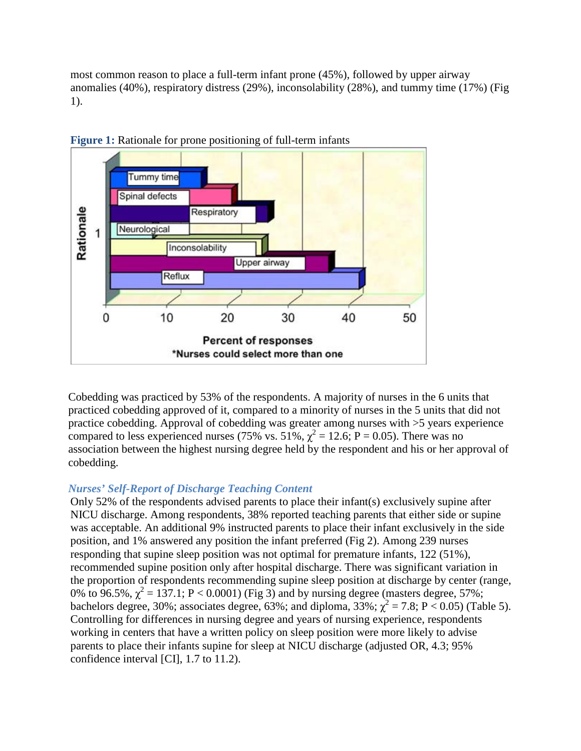most common reason to place a full-term infant prone (45%), followed by upper airway anomalies (40%), respiratory distress (29%), inconsolability (28%), and tummy time (17%) (Fig 1).



**Figure 1:** Rationale for prone positioning of full-term infants

Cobedding was practiced by 53% of the respondents. A majority of nurses in the 6 units that practiced cobedding approved of it, compared to a minority of nurses in the 5 units that did not practice cobedding. Approval of cobedding was greater among nurses with >5 years experience compared to less experienced nurses (75% vs. 51%,  $\chi^2 = 12.6$ ; P = 0.05). There was no association between the highest nursing degree held by the respondent and his or her approval of cobedding.

### *Nurses' Self-Report of Discharge Teaching Content*

Only 52% of the respondents advised parents to place their infant(s) exclusively supine after NICU discharge. Among respondents, 38% reported teaching parents that either side or supine was acceptable. An additional 9% instructed parents to place their infant exclusively in the side position, and 1% answered any position the infant preferred (Fig 2). Among 239 nurses responding that supine sleep position was not optimal for premature infants, 122 (51%), recommended supine position only after hospital discharge. There was significant variation in the proportion of respondents recommending supine sleep position at discharge by center (range, 0% to 96.5%,  $\chi^2 = 137.1$ ; P < 0.0001) (Fig 3) and by nursing degree (masters degree, 57%; bachelors degree, 30%; associates degree, 63%; and diploma, 33%;  $\chi^2 = 7.8$ ; P < 0.05) (Table 5). Controlling for differences in nursing degree and years of nursing experience, respondents working in centers that have a written policy on sleep position were more likely to advise parents to place their infants supine for sleep at NICU discharge (adjusted OR, 4.3; 95% confidence interval [CI], 1.7 to 11.2).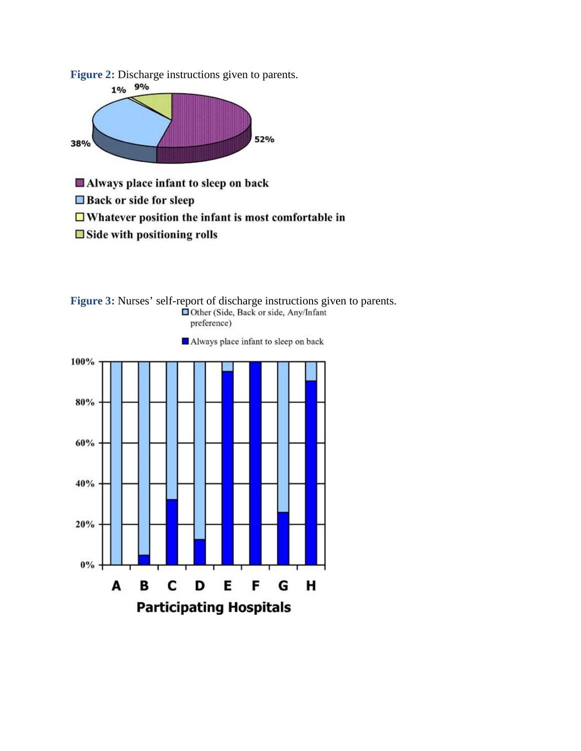

- 
- $\square$  Whatever position the infant is most comfortable in
- $\Box$  Side with positioning rolls



**Figure 3:** Nurses' self-report of discharge instructions given to parents.<br>  $\Box$  Other (Side, Back or side, Any/Infant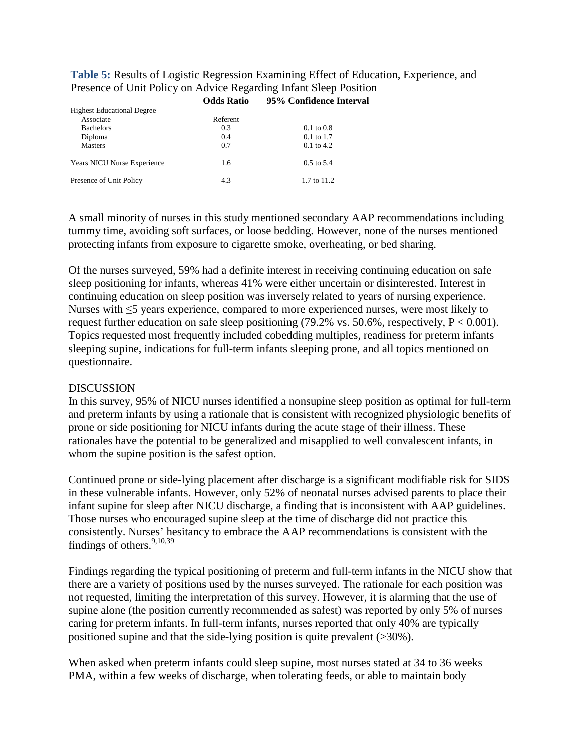| I Reserve of Ome I oney on Fuevice Regarding Imam Dicep I osition |                   |                         |  |  |
|-------------------------------------------------------------------|-------------------|-------------------------|--|--|
|                                                                   | <b>Odds Ratio</b> | 95% Confidence Interval |  |  |
| <b>Highest Educational Degree</b>                                 |                   |                         |  |  |
| Associate                                                         | Referent          |                         |  |  |
| <b>Bachelors</b>                                                  | 0.3               | $0.1 \text{ to } 0.8$   |  |  |
| Diploma                                                           | 0.4               | $0.1 \text{ to } 1.7$   |  |  |
| <b>Masters</b>                                                    | 0.7               | $0.1 \text{ to } 4.2$   |  |  |
| <b>Years NICU Nurse Experience</b>                                | 1.6               | $0.5 \text{ to } 5.4$   |  |  |
| Presence of Unit Policy                                           | 4.3               | 1.7 to 11.2             |  |  |

**Table 5:** Results of Logistic Regression Examining Effect of Education, Experience, and Presence of Unit Policy on Advice Regarding Infant Sleep Position

A small minority of nurses in this study mentioned secondary AAP recommendations including tummy time, avoiding soft surfaces, or loose bedding. However, none of the nurses mentioned protecting infants from exposure to cigarette smoke, overheating, or bed sharing.

Of the nurses surveyed, 59% had a definite interest in receiving continuing education on safe sleep positioning for infants, whereas 41% were either uncertain or disinterested. Interest in continuing education on sleep position was inversely related to years of nursing experience. Nurses with ≤5 years experience, compared to more experienced nurses, were most likely to request further education on safe sleep positioning  $(79.2\% \text{ vs. } 50.6\%$ , respectively,  $P < 0.001$ ). Topics requested most frequently included cobedding multiples, readiness for preterm infants sleeping supine, indications for full-term infants sleeping prone, and all topics mentioned on questionnaire.

# DISCUSSION

In this survey, 95% of NICU nurses identified a nonsupine sleep position as optimal for full-term and preterm infants by using a rationale that is consistent with recognized physiologic benefits of prone or side positioning for NICU infants during the acute stage of their illness. These rationales have the potential to be generalized and misapplied to well convalescent infants, in whom the supine position is the safest option.

Continued prone or side-lying placement after discharge is a significant modifiable risk for SIDS in these vulnerable infants. However, only 52% of neonatal nurses advised parents to place their infant supine for sleep after NICU discharge, a finding that is inconsistent with AAP guidelines. Those nurses who encouraged supine sleep at the time of discharge did not practice this consistently. Nurses' hesitancy to embrace the AAP recommendations is consistent with the findings of others.  $9,10,39$ 

Findings regarding the typical positioning of preterm and full-term infants in the NICU show that there are a variety of positions used by the nurses surveyed. The rationale for each position was not requested, limiting the interpretation of this survey. However, it is alarming that the use of supine alone (the position currently recommended as safest) was reported by only 5% of nurses caring for preterm infants. In full-term infants, nurses reported that only 40% are typically positioned supine and that the side-lying position is quite prevalent (>30%).

When asked when preterm infants could sleep supine, most nurses stated at 34 to 36 weeks PMA, within a few weeks of discharge, when tolerating feeds, or able to maintain body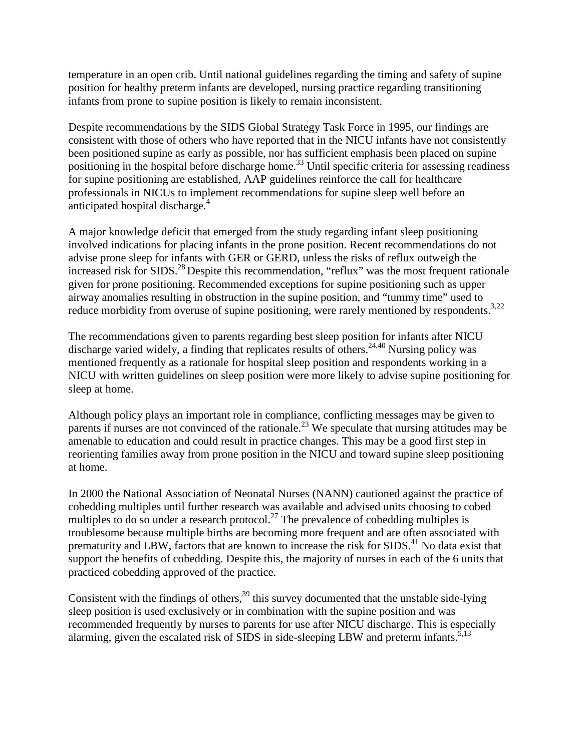temperature in an open crib. Until national guidelines regarding the timing and safety of supine position for healthy preterm infants are developed, nursing practice regarding transitioning infants from prone to supine position is likely to remain inconsistent.

Despite recommendations by the SIDS Global Strategy Task Force in 1995, our findings are consistent with those of others who have reported that in the NICU infants have not consistently been positioned supine as early as possible, nor has sufficient emphasis been placed on supine positioning in the hospital before discharge home.<sup>33</sup> Until specific criteria for assessing readiness for supine positioning are established, AAP guidelines reinforce the call for healthcare professionals in NICUs to implement recommendations for supine sleep well before an anticipated hospital discharge.<sup>4</sup>

A major knowledge deficit that emerged from the study regarding infant sleep positioning involved indications for placing infants in the prone position. Recent recommendations do not advise prone sleep for infants with GER or GERD, unless the risks of reflux outweigh the increased risk for SIDS.<sup>28</sup> Despite this recommendation, "reflux" was the most frequent rationale given for prone positioning. Recommended exceptions for supine positioning such as upper airway anomalies resulting in obstruction in the supine position, and "tummy time" used to reduce morbidity from overuse of supine positioning, were rarely mentioned by respondents.<sup>3,22</sup>

The recommendations given to parents regarding best sleep position for infants after NICU discharge varied widely, a finding that replicates results of others.<sup>24,40</sup> Nursing policy was mentioned frequently as a rationale for hospital sleep position and respondents working in a NICU with written guidelines on sleep position were more likely to advise supine positioning for sleep at home.

Although policy plays an important role in compliance, conflicting messages may be given to parents if nurses are not convinced of the rationale.<sup>23</sup> We speculate that nursing attitudes may be amenable to education and could result in practice changes. This may be a good first step in reorienting families away from prone position in the NICU and toward supine sleep positioning at home.

In 2000 the National Association of Neonatal Nurses (NANN) cautioned against the practice of cobedding multiples until further research was available and advised units choosing to cobed multiples to do so under a research protocol.<sup>27</sup> The prevalence of cobedding multiples is troublesome because multiple births are becoming more frequent and are often associated with prematurity and LBW, factors that are known to increase the risk for SIDS.<sup>41</sup> No data exist that support the benefits of cobedding. Despite this, the majority of nurses in each of the 6 units that practiced cobedding approved of the practice.

Consistent with the findings of others,  $39$  this survey documented that the unstable side-lying sleep position is used exclusively or in combination with the supine position and was recommended frequently by nurses to parents for use after NICU discharge. This is especially alarming, given the escalated risk of SIDS in side-sleeping LBW and preterm infants.<sup>5,13</sup>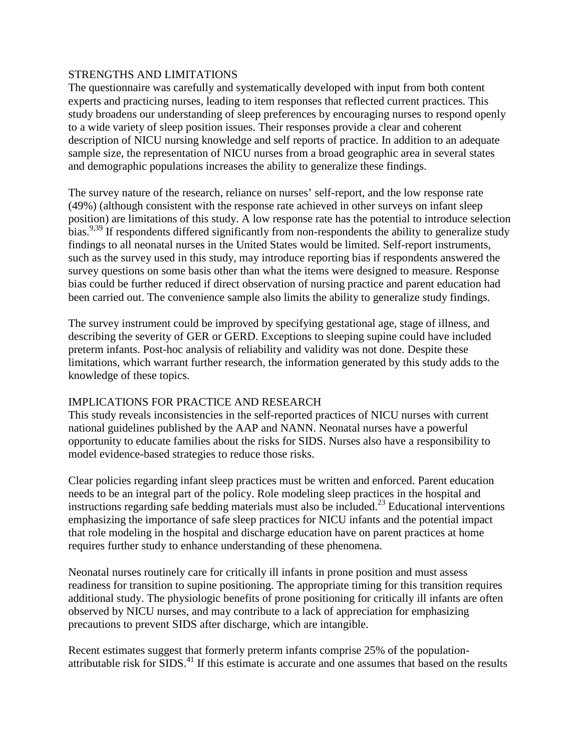### STRENGTHS AND LIMITATIONS

The questionnaire was carefully and systematically developed with input from both content experts and practicing nurses, leading to item responses that reflected current practices. This study broadens our understanding of sleep preferences by encouraging nurses to respond openly to a wide variety of sleep position issues. Their responses provide a clear and coherent description of NICU nursing knowledge and self reports of practice. In addition to an adequate sample size, the representation of NICU nurses from a broad geographic area in several states and demographic populations increases the ability to generalize these findings.

The survey nature of the research, reliance on nurses' self-report, and the low response rate (49%) (although consistent with the response rate achieved in other surveys on infant sleep position) are limitations of this study. A low response rate has the potential to introduce selection bias.<sup>9,39</sup> If respondents differed significantly from non-respondents the ability to generalize study findings to all neonatal nurses in the United States would be limited. Self-report instruments, such as the survey used in this study, may introduce reporting bias if respondents answered the survey questions on some basis other than what the items were designed to measure. Response bias could be further reduced if direct observation of nursing practice and parent education had been carried out. The convenience sample also limits the ability to generalize study findings.

The survey instrument could be improved by specifying gestational age, stage of illness, and describing the severity of GER or GERD. Exceptions to sleeping supine could have included preterm infants. Post-hoc analysis of reliability and validity was not done. Despite these limitations, which warrant further research, the information generated by this study adds to the knowledge of these topics.

### IMPLICATIONS FOR PRACTICE AND RESEARCH

This study reveals inconsistencies in the self-reported practices of NICU nurses with current national guidelines published by the AAP and NANN. Neonatal nurses have a powerful opportunity to educate families about the risks for SIDS. Nurses also have a responsibility to model evidence-based strategies to reduce those risks.

Clear policies regarding infant sleep practices must be written and enforced. Parent education needs to be an integral part of the policy. Role modeling sleep practices in the hospital and instructions regarding safe bedding materials must also be included.23 Educational interventions emphasizing the importance of safe sleep practices for NICU infants and the potential impact that role modeling in the hospital and discharge education have on parent practices at home requires further study to enhance understanding of these phenomena.

Neonatal nurses routinely care for critically ill infants in prone position and must assess readiness for transition to supine positioning. The appropriate timing for this transition requires additional study. The physiologic benefits of prone positioning for critically ill infants are often observed by NICU nurses, and may contribute to a lack of appreciation for emphasizing precautions to prevent SIDS after discharge, which are intangible.

Recent estimates suggest that formerly preterm infants comprise 25% of the populationattributable risk for  $\overline{SIDS}^{41}$  If this estimate is accurate and one assumes that based on the results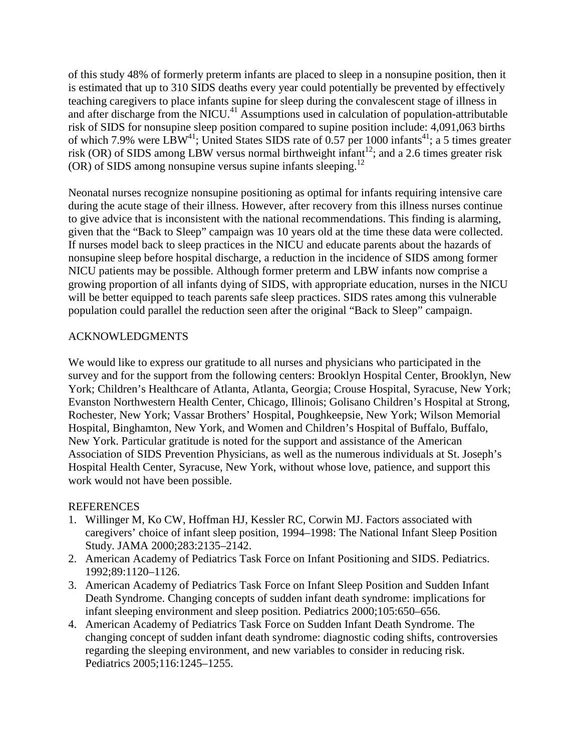of this study 48% of formerly preterm infants are placed to sleep in a nonsupine position, then it is estimated that up to 310 SIDS deaths every year could potentially be prevented by effectively teaching caregivers to place infants supine for sleep during the convalescent stage of illness in and after discharge from the NICU.<sup>41</sup> Assumptions used in calculation of population-attributable risk of SIDS for nonsupine sleep position compared to supine position include: 4,091,063 births of which 7.9% were LBW<sup>41</sup>; United States SIDS rate of 0.57 per 1000 infants<sup>41</sup>; a 5 times greater risk (OR) of SIDS among LBW versus normal birthweight infant<sup>12</sup>; and a 2.6 times greater risk (OR) of SIDS among nonsupine versus supine infants sleeping.12

Neonatal nurses recognize nonsupine positioning as optimal for infants requiring intensive care during the acute stage of their illness. However, after recovery from this illness nurses continue to give advice that is inconsistent with the national recommendations. This finding is alarming, given that the "Back to Sleep" campaign was 10 years old at the time these data were collected. If nurses model back to sleep practices in the NICU and educate parents about the hazards of nonsupine sleep before hospital discharge, a reduction in the incidence of SIDS among former NICU patients may be possible. Although former preterm and LBW infants now comprise a growing proportion of all infants dying of SIDS, with appropriate education, nurses in the NICU will be better equipped to teach parents safe sleep practices. SIDS rates among this vulnerable population could parallel the reduction seen after the original "Back to Sleep" campaign.

# ACKNOWLEDGMENTS

We would like to express our gratitude to all nurses and physicians who participated in the survey and for the support from the following centers: Brooklyn Hospital Center, Brooklyn, New York; Children's Healthcare of Atlanta, Atlanta, Georgia; Crouse Hospital, Syracuse, New York; Evanston Northwestern Health Center, Chicago, Illinois; Golisano Children's Hospital at Strong, Rochester, New York; Vassar Brothers' Hospital, Poughkeepsie, New York; Wilson Memorial Hospital, Binghamton, New York, and Women and Children's Hospital of Buffalo, Buffalo, New York. Particular gratitude is noted for the support and assistance of the American Association of SIDS Prevention Physicians, as well as the numerous individuals at St. Joseph's Hospital Health Center, Syracuse, New York, without whose love, patience, and support this work would not have been possible.

### REFERENCES

- 1. Willinger M, Ko CW, Hoffman HJ, Kessler RC, Corwin MJ. Factors associated with caregivers' choice of infant sleep position, 1994–1998: The National Infant Sleep Position Study. JAMA 2000;283:2135–2142.
- 2. American Academy of Pediatrics Task Force on Infant Positioning and SIDS. Pediatrics. 1992;89:1120–1126.
- 3. American Academy of Pediatrics Task Force on Infant Sleep Position and Sudden Infant Death Syndrome. Changing concepts of sudden infant death syndrome: implications for infant sleeping environment and sleep position. Pediatrics 2000;105:650–656.
- 4. American Academy of Pediatrics Task Force on Sudden Infant Death Syndrome. The changing concept of sudden infant death syndrome: diagnostic coding shifts, controversies regarding the sleeping environment, and new variables to consider in reducing risk. Pediatrics 2005;116:1245–1255.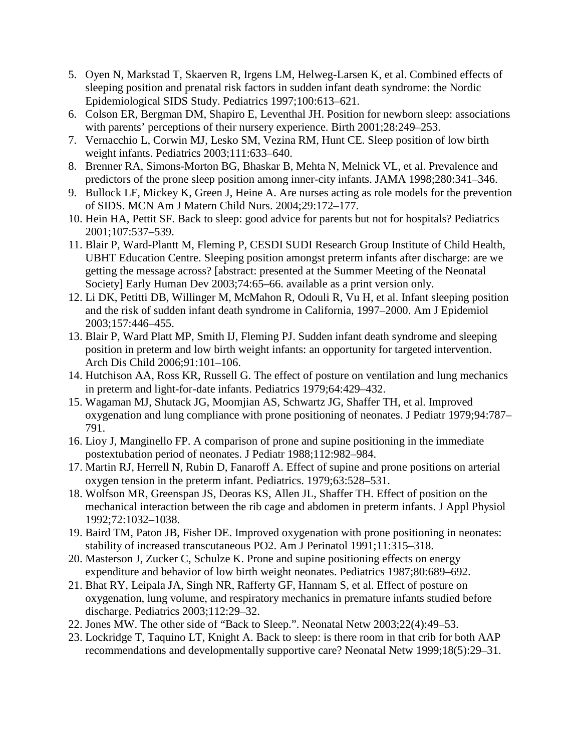- 5. Oyen N, Markstad T, Skaerven R, Irgens LM, Helweg-Larsen K, et al. Combined effects of sleeping position and prenatal risk factors in sudden infant death syndrome: the Nordic Epidemiological SIDS Study. Pediatrics 1997;100:613–621.
- 6. Colson ER, Bergman DM, Shapiro E, Leventhal JH. Position for newborn sleep: associations with parents' perceptions of their nursery experience. Birth 2001;28:249–253.
- 7. Vernacchio L, Corwin MJ, Lesko SM, Vezina RM, Hunt CE. Sleep position of low birth weight infants. Pediatrics 2003;111:633–640.
- 8. Brenner RA, Simons-Morton BG, Bhaskar B, Mehta N, Melnick VL, et al. Prevalence and predictors of the prone sleep position among inner-city infants. JAMA 1998;280:341–346.
- 9. Bullock LF, Mickey K, Green J, Heine A. Are nurses acting as role models for the prevention of SIDS. MCN Am J Matern Child Nurs. 2004;29:172–177.
- 10. Hein HA, Pettit SF. Back to sleep: good advice for parents but not for hospitals? Pediatrics 2001;107:537–539.
- 11. Blair P, Ward-Plantt M, Fleming P, CESDI SUDI Research Group Institute of Child Health, UBHT Education Centre. Sleeping position amongst preterm infants after discharge: are we getting the message across? [abstract: presented at the Summer Meeting of the Neonatal Society] Early Human Dev 2003;74:65–66. available as a print version only.
- 12. Li DK, Petitti DB, Willinger M, McMahon R, Odouli R, Vu H, et al. Infant sleeping position and the risk of sudden infant death syndrome in California, 1997–2000. Am J Epidemiol 2003;157:446–455.
- 13. Blair P, Ward Platt MP, Smith IJ, Fleming PJ. Sudden infant death syndrome and sleeping position in preterm and low birth weight infants: an opportunity for targeted intervention. Arch Dis Child 2006;91:101–106.
- 14. Hutchison AA, Ross KR, Russell G. The effect of posture on ventilation and lung mechanics in preterm and light-for-date infants. Pediatrics 1979;64:429–432.
- 15. Wagaman MJ, Shutack JG, Moomjian AS, Schwartz JG, Shaffer TH, et al. Improved oxygenation and lung compliance with prone positioning of neonates. J Pediatr 1979;94:787– 791.
- 16. Lioy J, Manginello FP. A comparison of prone and supine positioning in the immediate postextubation period of neonates. J Pediatr 1988;112:982–984.
- 17. Martin RJ, Herrell N, Rubin D, Fanaroff A. Effect of supine and prone positions on arterial oxygen tension in the preterm infant. Pediatrics. 1979;63:528–531.
- 18. Wolfson MR, Greenspan JS, Deoras KS, Allen JL, Shaffer TH. Effect of position on the mechanical interaction between the rib cage and abdomen in preterm infants. J Appl Physiol 1992;72:1032–1038.
- 19. Baird TM, Paton JB, Fisher DE. Improved oxygenation with prone positioning in neonates: stability of increased transcutaneous PO2. Am J Perinatol 1991;11:315–318.
- 20. Masterson J, Zucker C, Schulze K. Prone and supine positioning effects on energy expenditure and behavior of low birth weight neonates. Pediatrics 1987;80:689–692.
- 21. Bhat RY, Leipala JA, Singh NR, Rafferty GF, Hannam S, et al. Effect of posture on oxygenation, lung volume, and respiratory mechanics in premature infants studied before discharge. Pediatrics 2003;112:29–32.
- 22. Jones MW. The other side of "Back to Sleep.". Neonatal Netw 2003;22(4):49–53.
- 23. Lockridge T, Taquino LT, Knight A. Back to sleep: is there room in that crib for both AAP recommendations and developmentally supportive care? Neonatal Netw 1999;18(5):29–31.